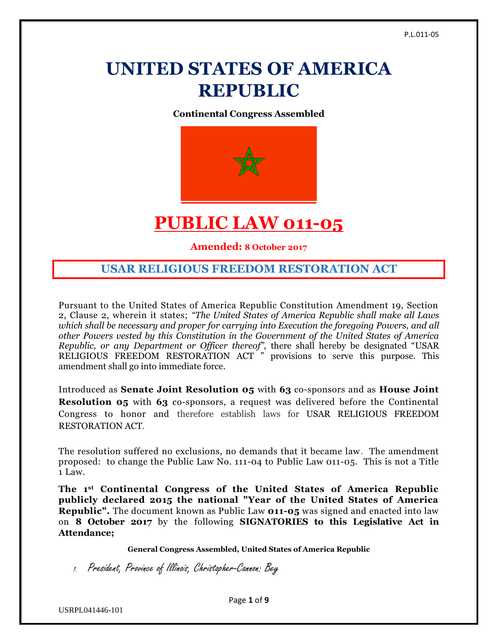# **UNITED STATES OF AMERICA REPUBLIC**

**Continental Congress Assembled**



## **PUBLIC LAW 011-05**

**Amended: 8 October 2017**

### **USAR RELIGIOUS FREEDOM RESTORATION ACT**

Pursuant to the United States of America Republic Constitution Amendment 19, Section 2, Clause 2, wherein it states; *"The United States of America Republic shall make all Laws which shall be necessary and proper for carrying into Execution the foregoing Powers, and all other Powers vested by this Constitution in the Government of the United States of America Republic, or any Department or Officer thereof",* there shall hereby be designated "USAR RELIGIOUS FREEDOM RESTORATION ACT " provisions to serve this purpose. This amendment shall go into immediate force.

Introduced as **Senate Joint Resolution 05** with **63** co-sponsors and as **House Joint Resolution 05** with **63** co-sponsors, a request was delivered before the Continental Congress to honor and therefore establish laws for USAR RELIGIOUS FREEDOM RESTORATION ACT.

The resolution suffered no exclusions, no demands that it became law. The amendment proposed: to change the Public Law No. 111-04 to Public Law 011-05. This is not a Title 1 Law.

**The 1st Continental Congress of the United States of America Republic publicly declared 2015 the national "Year of the United States of America Republic".** The document known as Public Law **011-05** was signed and enacted into law on **8 October 2017** by the following **SIGNATORIES to this Legislative Act in Attendance;**

**General Congress Assembled, United States of America Republic**

1. President, Province of Illinois, Christopher-Cannon: Bey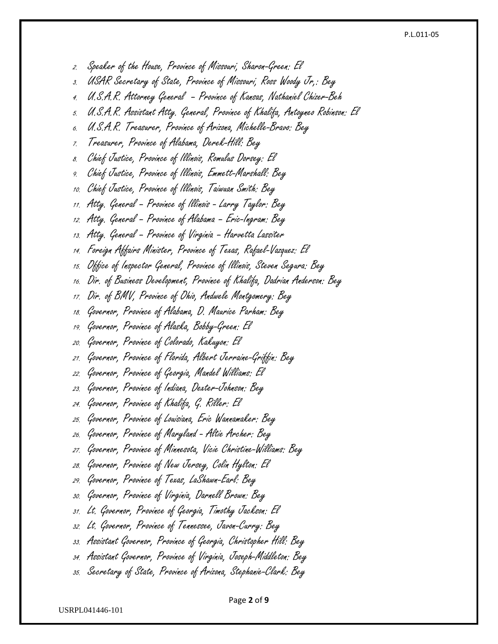### P.L.011-05

2. Speaker of the House, Province of Missouri, Sharon-Green: El

- 3. USAR Secretary of State, Province of Missouri, Ross Woody Jr,: Bey
- 4. U.S.A.R. Attorney General Province of Kansas, Nathaniel Chizer-Beh
- 5. U.S.A.R. Assistant Atty. General, Province of Khalifa, Antoyneo Robinson: El
- 6. U.S.A.R. Treasurer, Province of Arizona, Michelle-Bravo: Bey
- 7. Treasurer, Province of Alabama, Derek-Hill: Bey
- 8. Chief Justice, Province of Illinois, Romulus Dorsey: El
- 9. Chief Justice, Province of Illinois, Emmett-Marshall: Bey
- 10. Chief Justice, Province of Illinois, Taiwuan Smith: Bey
- 11. Atty. General Province of Illinois Larry Taylor: Bey
- 12. Atty. General Province of Alabama Eric-Ingram: Bey
- 13. Atty. General Province of Virginia Harvetta Lassiter
- 14. Foreign Affairs Minister, Province of Texas, Rafael-Vazquez: El
- 15. Office of Inspector General, Province of Illinois, Steven Segura: Bey
- 16. Dir. of Business Development, Province of Khalifa, Dadrian Anderson: Bey
- 17. Dir. of BMV, Province of Ohio, Andwele Montgomery: Bey
- 18. Governor, Province of Alabama, D. Maurice Parham: Bey
- 19. Governor, Province of Alaska, Bobby-Green: El
- 20. Governor, Province of Colorado, Kakuyon: El
- 21. Governor, Province of Florida, Albert Jerraine-Griffin: Bey
- 22. Governor, Province of Georgia, Mandel Williams: El
- 23. Governor, Province of Indiana, Dexter-Johnson: Bey
- 24. Governor, Province of Khalifa, G. Riller: El
- 25. Governor, Province of Louisiana, Eric Wannamaker: Bey
- 26. Governor, Province of Maryland Altie Archer: Bey
- 27. Governor, Province of Minnesota, Vicie Christine-Williams: Bey
- 28. Governor, Province of New Jersey, Colin Hylton: El
- 29. Governor, Province of Texas, LaShawn-Earl: Bey
- 30. Governor, Province of Virginia, Darnell Brown: Bey
- 31. Lt. Governor, Province of Georgia, Timothy Jackson: El
- 32. Lt. Governor, Province of Tennessee, Javon-Curry: Bey
- 33. Assistant Governor, Province of Georgia, Christopher Hill: Bey
- 34. Assistant Governor, Province of Virginia, Joseph-Middleton: Bey
- 35. Secretary of State, Province of Arizona, Stephanie-Clark: Bey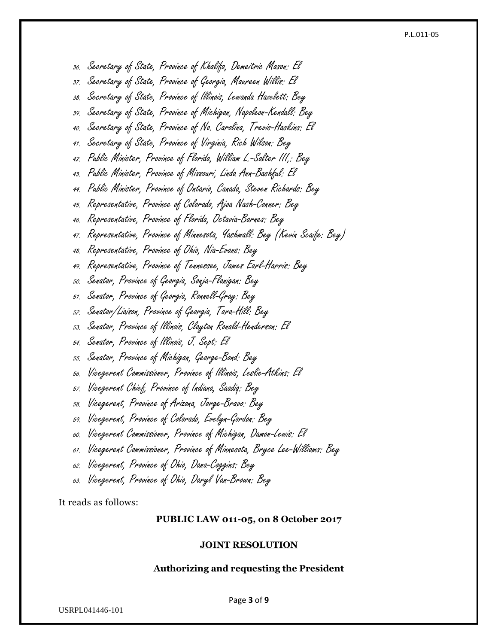#### P.L.011-05

- 36. Secretary of State, Province of Khalifa, Demeitric Mason: El
- 37. Secretary of State, Province of Georgia, Maureen Willis: El
- 38. Secretary of State, Province of Illinois, Lewanda Hazelett: Bey
- 39. Secretary of State, Province of Michigan, Napoleon-Kendall: Bey
- 40. Secretary of State, Province of No. Carolina, Trevis-Haskins: El
- 41. Secretary of State, Province of Virginia, Rich Wilson: Bey
- 42. Public Minister, Province of Florida, William L.-Salter III,: Bey
- 43. Public Minister, Province of Missouri, Linda Ann-Bashful: El
- 44. Public Minister, Province of Ontario, Canada, Steven Richards: Bey
- 45. Representative, Province of Colorado, Ajoa Nash-Conner: Bey
- 46. Representative, Province of Florida, Octavia-Barnes: Bey
- 47. Representative, Province of Minnesota, Yashmall: Bey (Kevin Scaife: Bey)
- 48. Representative, Province of Ohio, Nia-Evans: Bey
- 49. Representative, Province of Tennessee, James Earl-Harris: Bey
- 50. Senator, Province of Georgia, Sonja-Flanigan: Bey
- 51. Senator, Province of Georgia, Ronnell-Gray: Bey
- 52. Senator/Liaison, Province of Georgia, Tara-Hill: Bey
- 53. Senator, Province of Illinois, Clayton Ronald-Henderson: El
- 54. Senator, Province of Illinois, J. Sept: El
- 55. Senator, Province of Michigan, George-Bond: Bey
- 56. Vicegerent Commissioner, Province of Illinois, Leslie-Atkins: El
- 57. Vicegerent Chief, Province of Indiana, Saadiq: Bey
- 58. Vicegerent, Province of Arizona, Jorge-Bravo: Bey
- 59. Vicegerent, Province of Colorado, Evelyn-Gordon: Bey
- 60. Vicegerent Commissioner, Province of Michigan, Damon-Lewis: El
- 61. Vicegerent Commissioner, Province of Minnesota, Bryce Lee-Williams: Bey
- 62. Vicegerent, Province of Ohio, Dana-Coggins: Bey
- 63. Vicegerent, Province of Ohio, Daryl Van-Brown: Bey

It reads as follows:

### **PUBLIC LAW 011-05, on 8 October 2017**

### **JOINT RESOLUTION**

### **Authorizing and requesting the President**

USRPL041446-101

Page **3** of **9**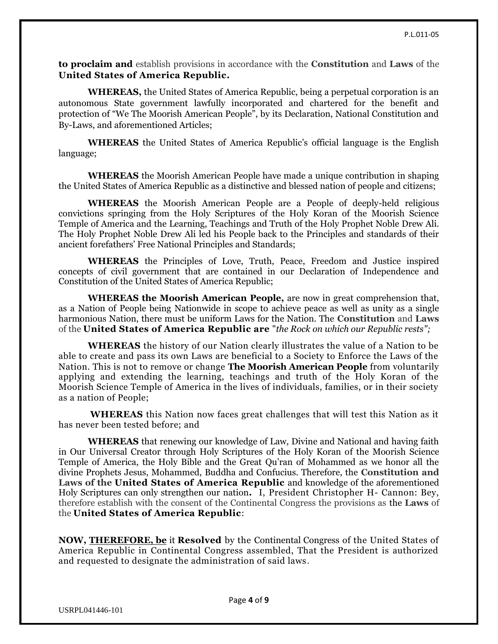**to proclaim and** establish provisions in accordance with the **Constitution** and **Laws** of the **United States of America Republic.**

**WHEREAS,** the United States of America Republic, being a perpetual corporation is an autonomous State government lawfully incorporated and chartered for the benefit and protection of "We The Moorish American People", by its Declaration, National Constitution and By-Laws, and aforementioned Articles;

**WHEREAS** the United States of America Republic's official language is the English language;

**WHEREAS** the Moorish American People have made a unique contribution in shaping the United States of America Republic as a distinctive and blessed nation of people and citizens;

**WHEREAS** the Moorish American People are a People of deeply-held religious convictions springing from the Holy Scriptures of the Holy Koran of the Moorish Science Temple of America and the Learning, Teachings and Truth of the Holy Prophet Noble Drew Ali. The Holy Prophet Noble Drew Ali led his People back to the Principles and standards of their ancient forefathers' Free National Principles and Standards;

**WHEREAS** the Principles of Love, Truth, Peace, Freedom and Justice inspired concepts of civil government that are contained in our Declaration of Independence and Constitution of the United States of America Republic;

**WHEREAS the Moorish American People,** are now in great comprehension that, as a Nation of People being Nationwide in scope to achieve peace as well as unity as a single harmonious Nation, there must be uniform Laws for the Nation. The **Constitution** and **Laws** of the **United States of America Republic are** "*the Rock on which our Republic rests";*

**WHEREAS** the history of our Nation clearly illustrates the value of a Nation to be able to create and pass its own Laws are beneficial to a Society to Enforce the Laws of the Nation. This is not to remove or change **The Moorish American People** from voluntarily applying and extending the learning, teachings and truth of the Holy Koran of the Moorish Science Temple of America in the lives of individuals, families, or in their society as a nation of People;

**WHEREAS** this Nation now faces great challenges that will test this Nation as it has never been tested before; and

**WHEREAS** that renewing our knowledge of Law, Divine and National and having faith in Our Universal Creator through Holy Scriptures of the Holy Koran of the Moorish Science Temple of America, the Holy Bible and the Great Qu'ran of Mohammed as we honor all the divine Prophets Jesus, Mohammed, Buddha and Confucius. Therefore, the **Constitution and Laws of the United States of America Republic** and knowledge of the aforementioned Holy Scriptures can only strengthen our nation**.** I, President Christopher H- Cannon: Bey, therefore establish with the consent of the Continental Congress the provisions as the **Laws** of the **United States of America Republic**:

**NOW, [THEREFORE, be](http://therefore.be/)** it **Resolved** by the Continental Congress of the United States of America Republic in Continental Congress assembled, That the President is authorized and requested to designate the administration of said laws.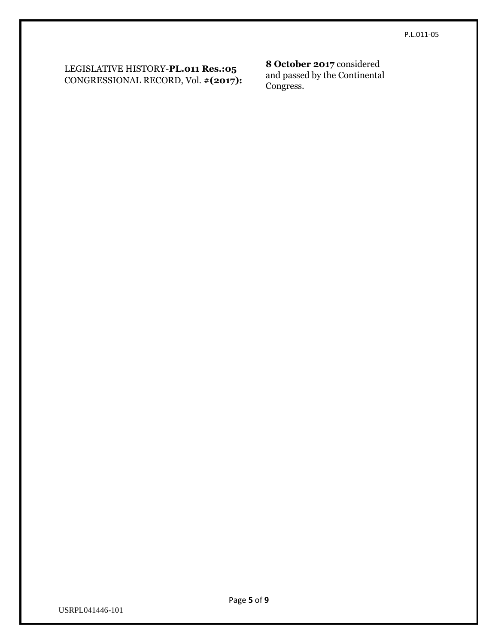### LEGISLATIVE HISTORY-**PL.011 Res.:05** CONGRESSIONAL RECORD, Vol. #**(2017):**

### **8 October 2017** considered

and passed by the Continental Congress.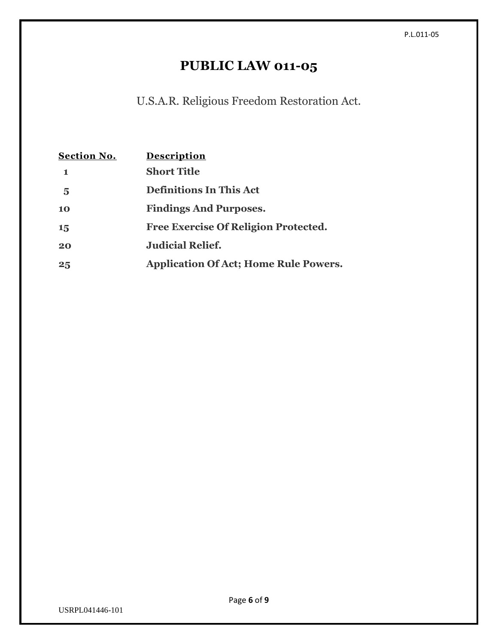# **PUBLIC LAW 011-05**

U.S.A.R. Religious Freedom Restoration Act.

| <b>Section No.</b> | Description                                  |
|--------------------|----------------------------------------------|
|                    | <b>Short Title</b>                           |
| 5                  | <b>Definitions In This Act</b>               |
| 10                 | <b>Findings And Purposes.</b>                |
| 15                 | <b>Free Exercise Of Religion Protected.</b>  |
| 20                 | <b>Judicial Relief.</b>                      |
| 25                 | <b>Application Of Act; Home Rule Powers.</b> |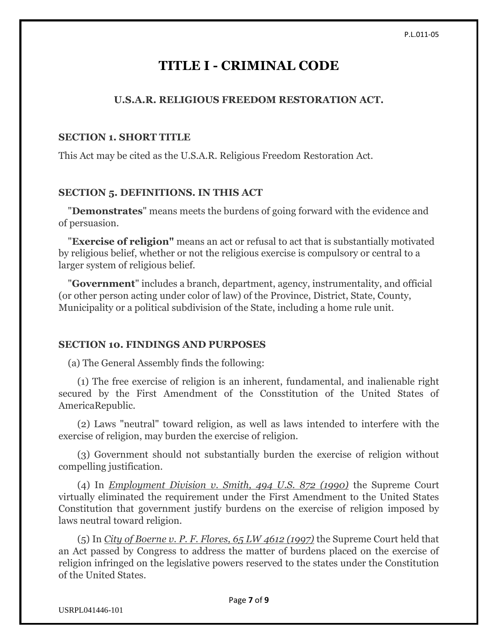### **TITLE I - CRIMINAL CODE**

### **U.S.A.R. RELIGIOUS FREEDOM RESTORATION ACT.**

### **SECTION 1. SHORT TITLE**

This Act may be cited as the U.S.A.R. Religious Freedom Restoration Act.

### **SECTION 5. DEFINITIONS. IN THIS ACT**

 "**Demonstrates**" means meets the burdens of going forward with the evidence and of persuasion.

 "**Exercise of religion"** means an act or refusal to act that is substantially motivated by religious belief, whether or not the religious exercise is compulsory or central to a larger system of religious belief.

 "**Government**" includes a branch, department, agency, instrumentality, and official (or other person acting under color of law) of the Province, District, State, County, Municipality or a political subdivision of the State, including a home rule unit.

### **SECTION 10. FINDINGS AND PURPOSES**

(a) The General Assembly finds the following:

 (1) The free exercise of religion is an inherent, fundamental, and inalienable right secured by the First Amendment of the Consstitution of the United States of AmericaRepublic.

 (2) Laws "neutral" toward religion, as well as laws intended to interfere with the exercise of religion, may burden the exercise of religion.

 (3) Government should not substantially burden the exercise of religion without compelling justification.

 (4) In *Employment Division v. Smith, 494 U.S. 872 (1990)* the Supreme Court virtually eliminated the requirement under the First Amendment to the United States Constitution that government justify burdens on the exercise of religion imposed by laws neutral toward religion.

 (5) In *City of Boerne v. P. F. Flores, 65 LW 4612 (1997)* the Supreme Court held that an Act passed by Congress to address the matter of burdens placed on the exercise of religion infringed on the legislative powers reserved to the states under the Constitution of the United States.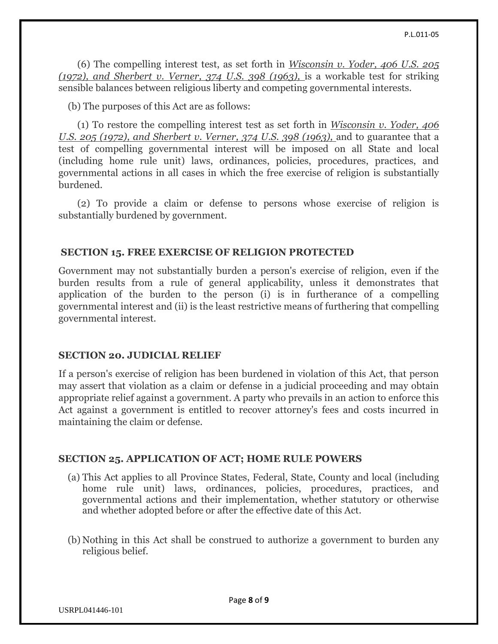(6) The compelling interest test, as set forth in *Wisconsin v. Yoder, 406 U.S. 205 (1972), and Sherbert v. Verner, 374 U.S. 398 (1963),* is a workable test for striking sensible balances between religious liberty and competing governmental interests.

(b) The purposes of this Act are as follows:

 (1) To restore the compelling interest test as set forth in *Wisconsin v. Yoder, 406 U.S. 205 (1972), and Sherbert v. Verner, 374 U.S. 398 (1963), and to guarantee that a* test of compelling governmental interest will be imposed on all State and local (including home rule unit) laws, ordinances, policies, procedures, practices, and governmental actions in all cases in which the free exercise of religion is substantially burdened.

 (2) To provide a claim or defense to persons whose exercise of religion is substantially burdened by government.

### **SECTION 15. FREE EXERCISE OF RELIGION PROTECTED**

Government may not substantially burden a person's exercise of religion, even if the burden results from a rule of general applicability, unless it demonstrates that application of the burden to the person (i) is in furtherance of a compelling governmental interest and (ii) is the least restrictive means of furthering that compelling governmental interest.

### **SECTION 20. JUDICIAL RELIEF**

If a person's exercise of religion has been burdened in violation of this Act, that person may assert that violation as a claim or defense in a judicial proceeding and may obtain appropriate relief against a government. A party who prevails in an action to enforce this Act against a government is entitled to recover attorney's fees and costs incurred in maintaining the claim or defense.

### **SECTION 25. APPLICATION OF ACT; HOME RULE POWERS**

- (a) This Act applies to all Province States, Federal, State, County and local (including home rule unit) laws, ordinances, policies, procedures, practices, and governmental actions and their implementation, whether statutory or otherwise and whether adopted before or after the effective date of this Act.
- (b) Nothing in this Act shall be construed to authorize a government to burden any religious belief.